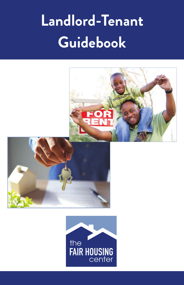# **Landlord-Tenant Guidebook**





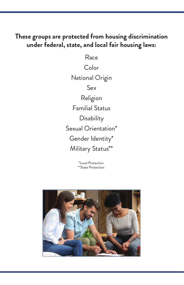#### **These groups are protected from housing discrimination under federal, state, and local fair housing laws:**

Race Color National Origin Sex Religion Familial Status **Disability** Sexual Orientation\* Gender Identity\* Military Status\*\*

> \*Local Protection \*\*State Protection

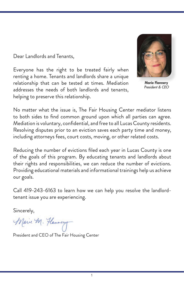Dear Landlords and Tenants,

Everyone has the right to be treated fairly when renting a home. Tenants and landlords share a unique relationship that can be tested at times. Mediation addresses the needs of both landlords and tenants, helping to preserve this relationship.



Marie Flannery President & CEO

No matter what the issue is, The Fair Housing Center mediator listens to both sides to find common ground upon which all parties can agree. Mediation is voluntary, confidential, and free to all Lucas County residents. Resolving disputes prior to an eviction saves each party time and money, including attorneys fees, court costs, moving, or other related costs.

Reducing the number of evictions filed each year in Lucas County is one of the goals of this program. By educating tenants and landlords about their rights and responsibilities, we can reduce the number of evictions. Providing educational materials and informational trainings help us achieve our goals.

Call 419-243-6163 to learn how we can help you resolve the landlordtenant issue you are experiencing.

Sincerely,

Marie M. Hannery

President and CEO of The Fair Housing Center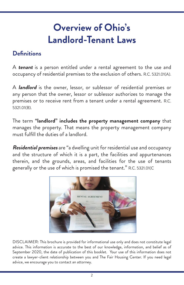# **Overview of Ohio's Landlord-Tenant Laws**

#### **Definitions**

A **tenant** is a person entitled under a rental agreement to the use and occupancy of residential premises to the exclusion of others. R.C. 5321.01(A).

A **landlord** is the owner, lessor, or sublessor of residential premises or any person that the owner, lessor or sublessor authorizes to manage the premises or to receive rent from a tenant under a rental agreement. R.C. 5321.01(B).

The term **"landlord" includes the property management company** that manages the property. That means the property management company must fulfill the duties of a landlord.

**Residential premises** are "a dwelling unit for residential use and occupancy and the structure of which it is a part, the facilities and appurtenances therein, and the grounds, areas, and facilities for the use of tenants generally or the use of which is promised the tenant." R.C. 5321.01(C



DISCLAIMER: This brochure is provided for informational use only and does not constitute legal advice. This information is accurate to the best of our knowledge, information, and belief as of September 2020, the date of publication of this booklet. Your use of this information does not create a lawyer-client relationship between you and The Fair Housing Center. If you need legal advice, we encourage you to contact an attorney.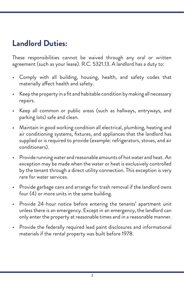## **Landlord Duties:**

These responsibilities cannot be waived through any oral or written agreement (such as your lease). R.C. 5321.13. A landlord has a duty to:

- Comply with all building, housing, health, and safety codes that materially affect health and safety.
- Keep the property in a fit and habitable condition by making all necessary repairs.
- Keep all common or public areas (such as hallways, entryways, and parking lots) safe and clean.
- Maintain in good working condition all electrical, plumbing, heating and air conditioning systems, fixtures, and appliances that the landlord has supplied or is required to provide (example: refrigerators, stoves, and air conditioners).
- Provide running water and reasonable amounts of hot water and heat. An exception may be made when the water or heat is exclusively controlled by the tenant through a direct utility connection. This exception is very rare for water services.
- Provide garbage cans and arrange for trash removal if the landlord owns four (4) or more units in the same building.
- Provide 24-hour notice before entering the tenants' apartment unit unless there is an emergency. Except in an emergency, the landlord can only enter the property at reasonable times and in a reasonable manner.
- Provide the federally required lead paint disclosures and informational materials if the rental property was built before 1978.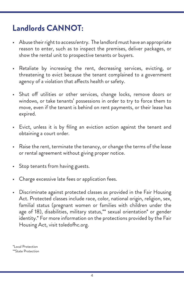## **Landlords CANNOT:**

- Abuse their right to access/entry. The landlord must have an appropriate reason to enter, such as to inspect the premises, deliver packages, or show the rental unit to prospective tenants or buyers.
- Retaliate by increasing the rent, decreasing services, evicting, or threatening to evict because the tenant complained to a government agency of a violation that affects health or safety.
- Shut off utilities or other services, change locks, remove doors or windows, or take tenants' possessions in order to try to force them to move, even if the tenant is behind on rent payments, or their lease has expired.
- Evict, unless it is by filing an eviction action against the tenant and obtaining a court order.
- Raise the rent, terminate the tenancy, or change the terms of the lease or rental agreement without giving proper notice.
- Stop tenants from having guests.
- Charge excessive late fees or application fees.
- Discriminate against protected classes as provided in the Fair Housing Act. Protected classes include race, color, national origin, religion, sex, familial status (pregnant women or families with children under the age of 18), disabilities, military status,\*\* sexual orientation\* or gender identity.\* For more information on the protections provided by the Fair Housing Act, visit toledofhc.org.

\*Local Protection \*\*State Protection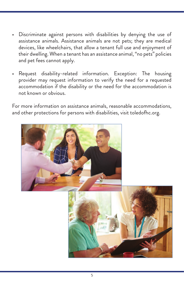- Discriminate against persons with disabilities by denying the use of assistance animals. Assistance animals are not pets; they are medical devices, like wheelchairs, that allow a tenant full use and enjoyment of their dwelling. When a tenant has an assistance animal, "no pets" policies and pet fees cannot apply.
- Request disability-related information. Exception: The housing provider may request information to verify the need for a requested accommodation if the disability or the need for the accommodation is not known or obvious.

For more information on assistance animals, reasonable accommodations, and other protections for persons with disabilities, visit toledofhc.org.

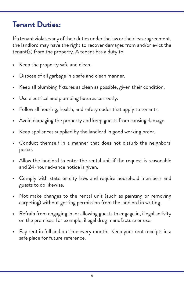## **Tenant Duties:**

If a tenant violates any of their duties under the law or their lease agreement, the landlord may have the right to recover damages from and/or evict the tenant(s) from the property. A tenant has a duty to:

- Keep the property safe and clean.
- Dispose of all garbage in a safe and clean manner.
- Keep all plumbing fixtures as clean as possible, given their condition.
- Use electrical and plumbing fixtures correctly.
- Follow all housing, health, and safety codes that apply to tenants.
- Avoid damaging the property and keep guests from causing damage.
- Keep appliances supplied by the landlord in good working order.
- Conduct themself in a manner that does not disturb the neighbors' peace.
- Allow the landlord to enter the rental unit if the request is reasonable and 24-hour advance notice is given.
- Comply with state or city laws and require household members and guests to do likewise.
- Not make changes to the rental unit (such as painting or removing carpeting) without getting permission from the landlord in writing.
- Refrain from engaging in, or allowing guests to engage in, illegal activity on the premises; for example, illegal drug manufacture or use.
- Pay rent in full and on time every month. Keep your rent receipts in a safe place for future reference.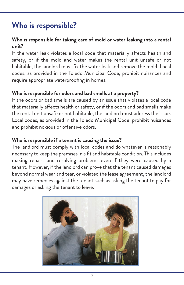## **Who is responsible?**

#### **Who is responsible for taking care of mold or water leaking into a rental unit?**

If the water leak violates a local code that materially affects health and safety, or if the mold and water makes the rental unit unsafe or not habitable, the landlord must fix the water leak and remove the mold. Local codes, as provided in the Toledo Municipal Code, prohibit nuisances and require appropriate waterproofing in homes.

#### **Who is responsible for odors and bad smells at a property?**

If the odors or bad smells are caused by an issue that violates a local code that materially affects health or safety, or if the odors and bad smells make the rental unit unsafe or not habitable, the landlord must address the issue. Local codes, as provided in the Toledo Municipal Code, prohibit nuisances and prohibit noxious or offensive odors.

#### **Who is responsible if a tenant is causing the issue?**

The landlord must comply with local codes and do whatever is reasonably necessary to keep the premises in a fit and habitable condition. This includes making repairs and resolving problems even if they were caused by a tenant. However, if the landlord can prove that the tenant caused damages beyond normal wear and tear, or violated the lease agreement, the landlord may have remedies against the tenant such as asking the tenant to pay for damages or asking the tenant to leave.

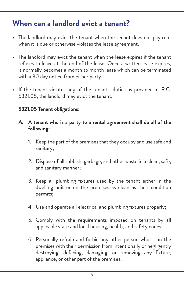#### **When can a landlord evict a tenant?**

- The landlord may evict the tenant when the tenant does not pay rent when it is due or otherwise violates the lease agreement.
- The landlord may evict the tenant when the lease expires if the tenant refuses to leave at the end of the lease. Once a written lease expires, it normally becomes a month to month lease which can be terminated with a 30 day notice from either party.
- If the tenant violates any of the tenant's duties as provided at R.C. 5321.05, the landlord may evict the tenant.

#### **5321.05 Tenant obligations:**

- **A. A tenant who is a party to a rental agreement shall do all of the following:**
	- 1. Keep the part of the premises that they occupy and use safe and sanitary;
	- 2. Dispose of all rubbish, garbage, and other waste in a clean, safe, and sanitary manner;
	- 3. Keep all plumbing fixtures used by the tenant either in the dwelling unit or on the premises as clean as their condition permits;
	- 4. Use and operate all electrical and plumbing fixtures properly;
	- 5. Comply with the requirements imposed on tenants by all applicable state and local housing, health, and safety codes;
	- 6. Personally refrain and forbid any other person who is on the premises with their permission from intentionally or negligently destroying, defacing, damaging, or removing any fixture, appliance, or other part of the premises;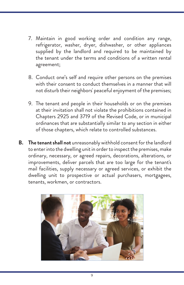- 7. Maintain in good working order and condition any range, refrigerator, washer, dryer, dishwasher, or other appliances supplied by the landlord and required to be maintained by the tenant under the terms and conditions of a written rental agreement;
- 8. Conduct one's self and require other persons on the premises with their consent to conduct themselves in a manner that will not disturb their neighbors' peaceful enjoyment of the premises;
- 9. The tenant and people in their households or on the premises at their invitation shall not violate the prohibitions contained in Chapters 2925 and 3719 of the Revised Code, or in municipal ordinances that are substantially similar to any section in either of those chapters, which relate to controlled substances.
- **B. The tenant shall not** unreasonably withhold consent for the landlord to enter into the dwelling unit in order to inspect the premises, make ordinary, necessary, or agreed repairs, decorations, alterations, or improvements, deliver parcels that are too large for the tenant's mail facilities, supply necessary or agreed services, or exhibit the dwelling unit to prospective or actual purchasers, mortgagees, tenants, workmen, or contractors.

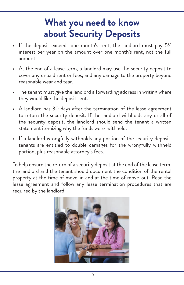# **What you need to know about Security Deposits**

- If the deposit exceeds one month's rent, the landlord must pay 5% interest per year on the amount over one month's rent, not the full amount.
- At the end of a lease term, a landlord may use the security deposit to cover any unpaid rent or fees, and any damage to the property beyond reasonable wear and tear.
- The tenant must give the landlord a forwarding address in writing where they would like the deposit sent.
- A landlord has 30 days after the termination of the lease agreement to return the security deposit. If the landlord withholds any or all of the security deposit, the landlord should send the tenant a written statement itemizing why the funds were withheld.
- If a landlord wrongfully withholds any portion of the security deposit, tenants are entitled to double damages for the wrongfully withheld portion, plus reasonable attorney's fees.

To help ensure the return of a security deposit at the end of the lease term, the landlord and the tenant should document the condition of the rental property at the time of move-in and at the time of move-out. Read the lease agreement and follow any lease termination procedures that are required by the landlord.

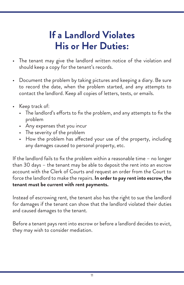# **If a Landlord Violates His or Her Duties:**

- The tenant may give the landlord written notice of the violation and should keep a copy for the tenant's records.
- Document the problem by taking pictures and keeping a diary. Be sure to record the date, when the problem started, and any attempts to contact the landlord. Keep all copies of letters, texts, or emails.
- Keep track of:
	- The landlord's efforts to fix the problem, and any attempts to fix the problem
	- Any expenses that you incur
	- The severity of the problem
	- How the problem has affected your use of the property, including any damages caused to personal property, etc.

If the landlord fails to fix the problem within a reasonable time – no longer than 30 days – the tenant may be able to deposit the rent into an escrow account with the Clerk of Courts and request an order from the Court to force the landlord to make the repairs. **In order to pay rent into escrow, the tenant must be current with rent payments.** 

Instead of escrowing rent, the tenant also has the right to sue the landlord for damages if the tenant can show that the landlord violated their duties and caused damages to the tenant.

Before a tenant pays rent into escrow or before a landlord decides to evict, they may wish to consider mediation.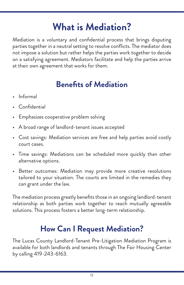# **What is Mediation?**

Mediation is a voluntary and confidential process that brings disputing parties together in a neutral setting to resolve conflicts. The mediator does not impose a solution but rather helps the parties work together to decide on a satisfying agreement. Mediators facilitate and help the parties arrive at their own agreement that works for them.

## **Benefits of Mediation**

- Informal
- Confidential
- Emphasizes cooperative problem solving
- A broad range of landlord-tenant issues accepted
- Cost savings: Mediation services are free and help parties avoid costly court cases.
- Time savings: Mediations can be scheduled more quickly than other alternative options.
- Better outcomes: Mediation may provide more creative resolutions tailored to your situation. The courts are limited in the remedies they can grant under the law.

The mediation process greatly benefits those in an ongoing landlord-tenant relationship as both parties work together to reach mutually agreeable solutions. This process fosters a better long-term relationship.

## **How Can I Request Mediation?**

The Lucas County Landlord-Tenant Pre-Litigation Mediation Program is available for both landlords and tenants through The Fair Housing Center by calling 419-243-6163.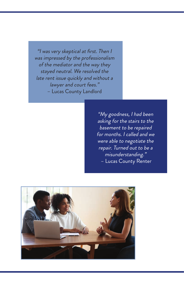"I was very skeptical at first. Then I was impressed by the professionalism of the mediator and the way they stayed neutral. We resolved the late rent issue quickly and without a lawyer and court fees." – Lucas County Landlord

> "My goodness, I had been asking for the stairs to the basement to be repaired for months. I called and we were able to negotiate the repair. Turned out to be a misunderstanding." – Lucas County Renter